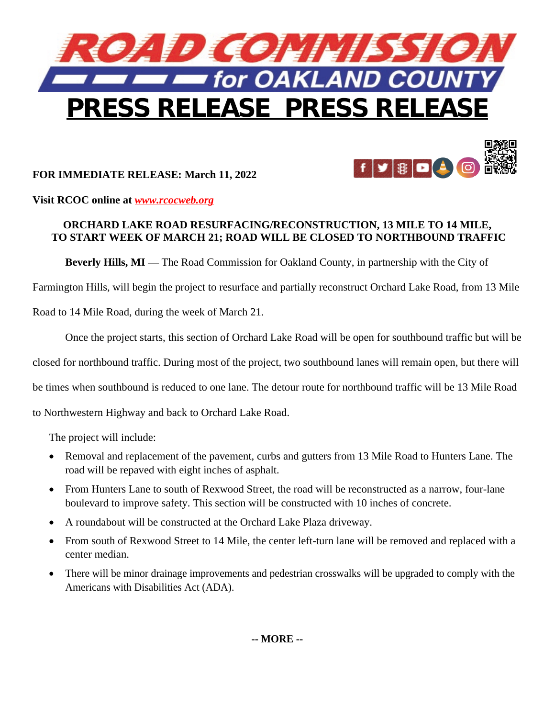

## **FOR IMMEDIATE RELEASE: March 11, 2022**



**Visit RCOC online at** *[www.rcocweb.org](http://www.rcocweb.org)*

## **ORCHARD LAKE ROAD RESURFACING/RECONSTRUCTION, 13 MILE TO 14 MILE, TO START WEEK OF MARCH 21; ROAD WILL BE CLOSED TO NORTHBOUND TRAFFIC**

**Beverly Hills, MI —** The Road Commission for Oakland County, in partnership with the City of

Farmington Hills, will begin the project to resurface and partially reconstruct Orchard Lake Road, from 13 Mile

Road to 14 Mile Road, during the week of March 21.

Once the project starts, this section of Orchard Lake Road will be open for southbound traffic but will be

closed for northbound traffic. During most of the project, two southbound lanes will remain open, but there will

be times when southbound is reduced to one lane. The detour route for northbound traffic will be 13 Mile Road

to Northwestern Highway and back to Orchard Lake Road.

The project will include:

- Removal and replacement of the pavement, curbs and gutters from 13 Mile Road to Hunters Lane. The road will be repaved with eight inches of asphalt.
- From Hunters Lane to south of Rexwood Street, the road will be reconstructed as a narrow, four-lane boulevard to improve safety. This section will be constructed with 10 inches of concrete.
- A roundabout will be constructed at the Orchard Lake Plaza driveway.
- From south of Rexwood Street to 14 Mile, the center left-turn lane will be removed and replaced with a center median.
- There will be minor drainage improvements and pedestrian crosswalks will be upgraded to comply with the Americans with Disabilities Act (ADA).

**-- MORE --**